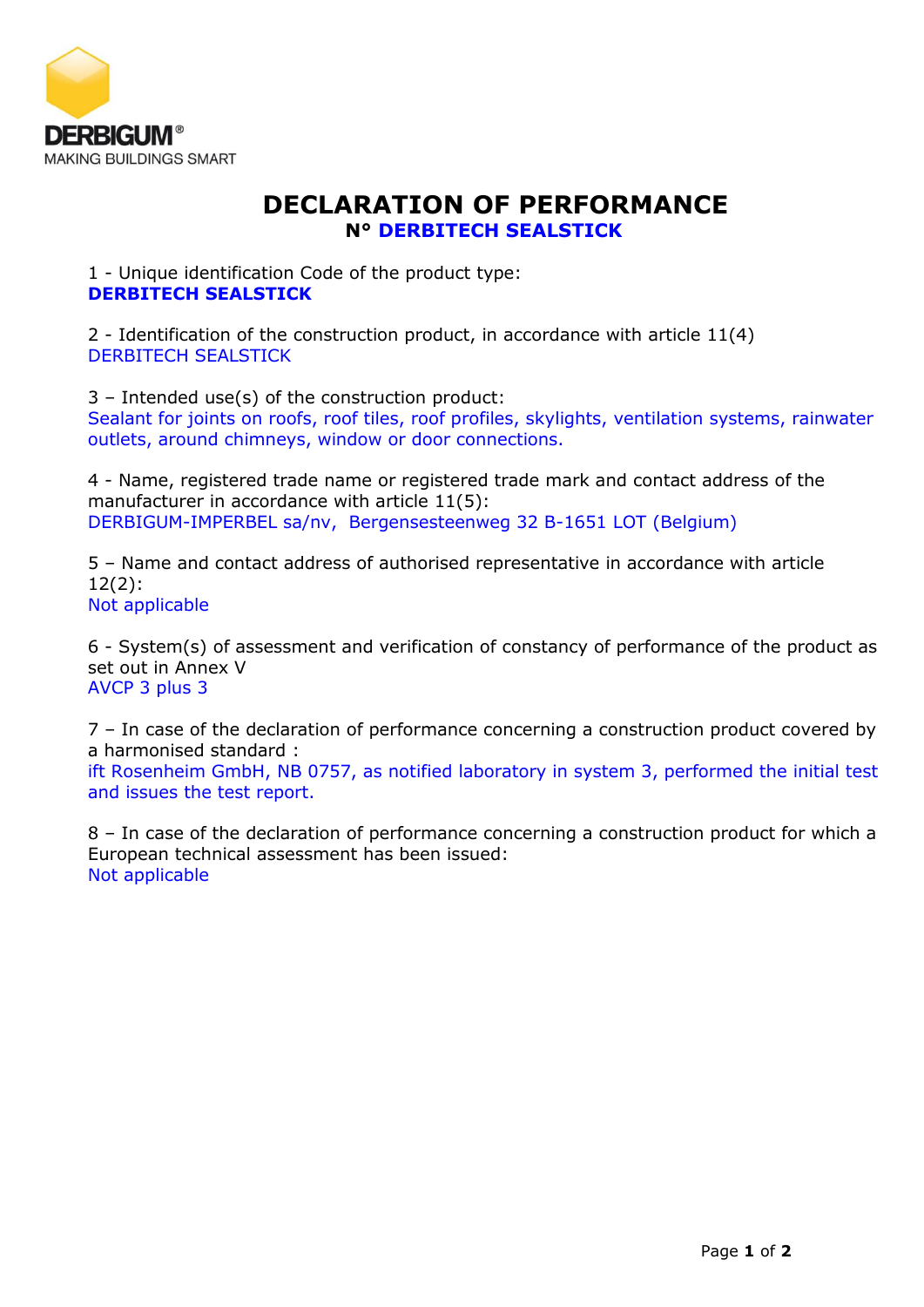

## **DECLARATION OF PERFORMANCE N° DERBITECH SEALSTICK**

1 - Unique identification Code of the product type: **DERBITECH SEALSTICK**

2 - Identification of the construction product, in accordance with article 11(4) DERBITECH SEALSTICK

3 – Intended use(s) of the construction product: Sealant for joints on roofs, roof tiles, roof profiles, skylights, ventilation systems, rainwater outlets, around chimneys, window or door connections.

4 - Name, registered trade name or registered trade mark and contact address of the manufacturer in accordance with article 11(5): DERBIGUM-IMPERBEL sa/nv, Bergensesteenweg 32 B-1651 LOT (Belgium)

5 – Name and contact address of authorised representative in accordance with article 12(2):

Not applicable

6 - System(s) of assessment and verification of constancy of performance of the product as set out in Annex V AVCP 3 plus 3

7 – In case of the declaration of performance concerning a construction product covered by a harmonised standard :

ift Rosenheim GmbH, NB 0757, as notified laboratory in system 3, performed the initial test and issues the test report.

8 – In case of the declaration of performance concerning a construction product for which a European technical assessment has been issued: Not applicable